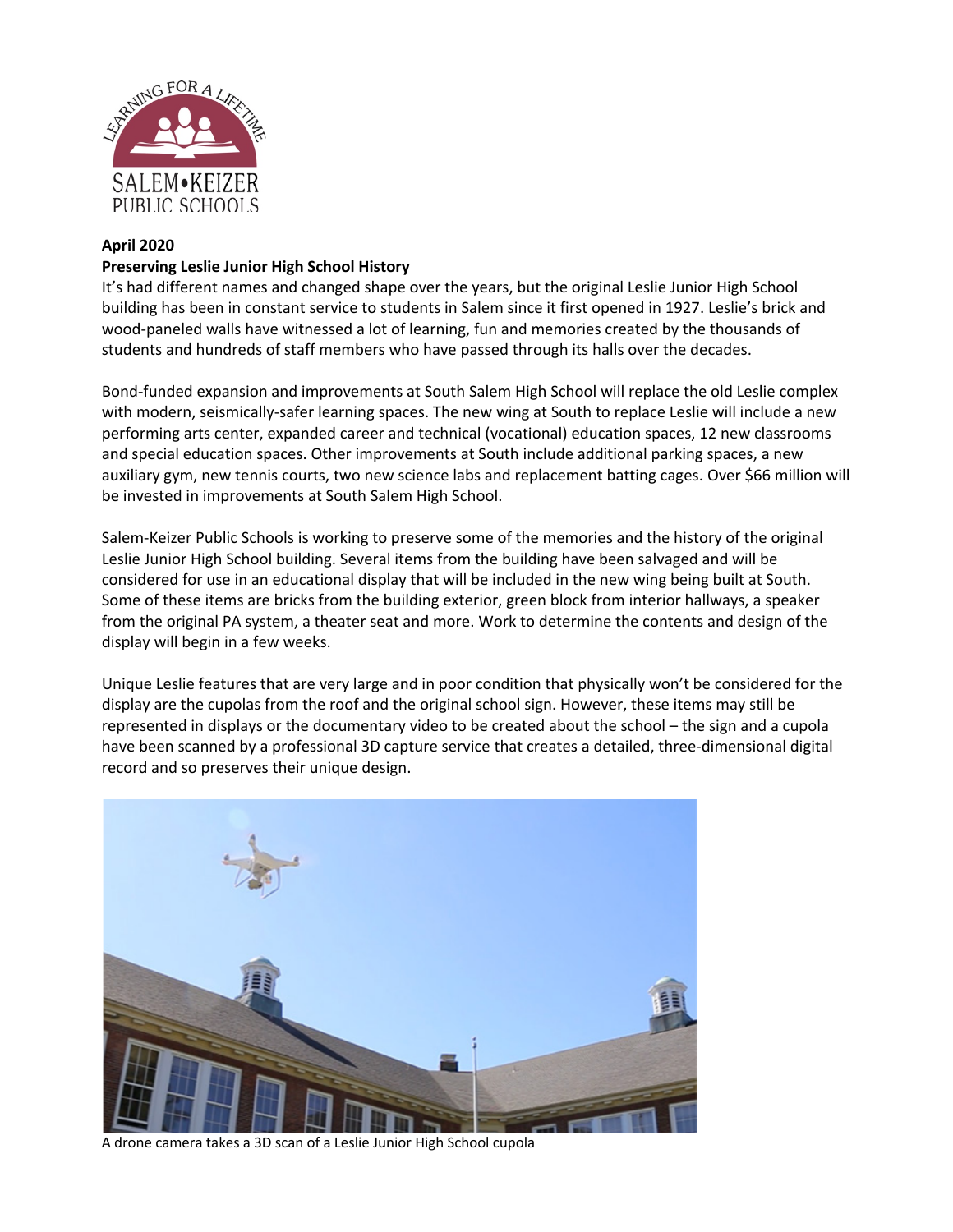

## **April 2020**

## **Preserving Leslie Junior High School History**

It's had different names and changed shape over the years, but the original Leslie Junior High School building has been in constant service to students in Salem since it first opened in 1927. Leslie's brick and wood-paneled walls have witnessed a lot of learning, fun and memories created by the thousands of students and hundreds of staff members who have passed through its halls over the decades.

Bond-funded expansion and improvements at South Salem High School will replace the old Leslie complex with modern, seismically-safer learning spaces. The new wing at South to replace Leslie will include a new performing arts center, expanded career and technical (vocational) education spaces, 12 new classrooms and special education spaces. Other improvements at South include additional parking spaces, a new auxiliary gym, new tennis courts, two new science labs and replacement batting cages. Over \$66 million will be invested in improvements at South Salem High School.

Salem-Keizer Public Schools is working to preserve some of the memories and the history of the original Leslie Junior High School building. Several items from the building have been salvaged and will be considered for use in an educational display that will be included in the new wing being built at South. Some of these items are bricks from the building exterior, green block from interior hallways, a speaker from the original PA system, a theater seat and more. Work to determine the contents and design of the display will begin in a few weeks.

Unique Leslie features that are very large and in poor condition that physically won't be considered for the display are the cupolas from the roof and the original school sign. However, these items may still be represented in displays or the documentary video to be created about the school – the sign and a cupola have been scanned by a professional 3D capture service that creates a detailed, three-dimensional digital record and so preserves their unique design.



A drone camera takes a 3D scan of a Leslie Junior High School cupola